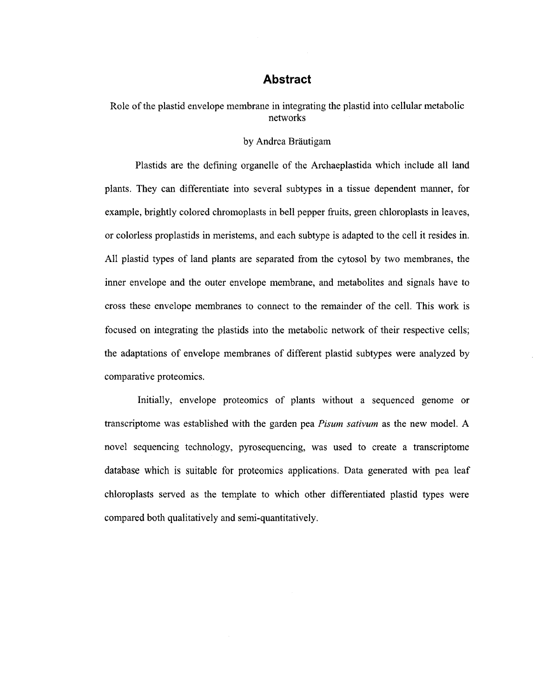## **Abstract**

Role of the plastid envelope membrane in integrating the plastid into cellular metabolic networks

## by Andrea Bräutigam by Andrea Brautigam

 $\mathcal{L}$  defining organelle of the Archaeplastida which include all landscape all landscape all landscape all landscape all landscape all landscape all landscape all landscape all landscape all landscape all landscape all plants. They can differentiate into several subtypes in a tissue dependent manner, for plants. They can differentiate into several subtypes in a tissue dependent manner, for example, brightly colored chromoplasts in bell pepper fruits, green changes in leaves, green changes,  $g$ or colorless proplastids in meristems, and each subtype is adapted to the cell it resides in. or colorless propolastics properties in meritstems, and each subtype is adapted to the cell it resides in  $\mathcal{L}$  $\mathcal{A}$ l plants are separated from the cytosol by two membranes, the cytosol by two membranes, the cytosol by two membranes, the cytosol by two membranes, the cytosol by two membranes, the cytosol by two membranes, the c inner envelope and the outer envelope membrane, and metabolites and signals have to inner envelope and the outer envelope membrane, and metabolites and signals have to cross these envelope membranes to connect to the cell. This work is work is work in the cell. This work is work focus entregration integration integration into the metabolic network of the metabolic network of the metabolic network of the metabolic network of the metabolic network of the metabolic network of the metabolic network o the adaptations of different plastid subtypes were analyzed by  $\frac{1}{2}$ comparative protein protein protein and the comparative protein protein and the comparative protein and the comparative protein and the comparative protein and the comparative protein and the comparative protein and the co

Initially, envelope proteomics of plants without a sequenced genome or  $\mathcal{L}$  in the plants with a sequence of plants with a sequence of plants with  $\mathcal{L}$ transcriptome was established with the garden pea *Pisum sativum* as the new model. A transcriptome was established with the garden pea *Pisum sativum* as the new model. A novel sequencing technology, pyrosequencing, was used to create a transcriptome novel sequencing technology, pyrosequencing, was used to create a transcriptometric  $\mathbf{r}$  $\mathbf{d}$  is suitable for proteins. Data generated with peak leaf experimental with peak leaf experimental with peak leaf experimental with peak leaf experimental with peak leaf experimental with peak leaf experimental wit chloroplasts served as the template to which other differentiated plastid types were compared both qualitatively and semi-quantitatively.